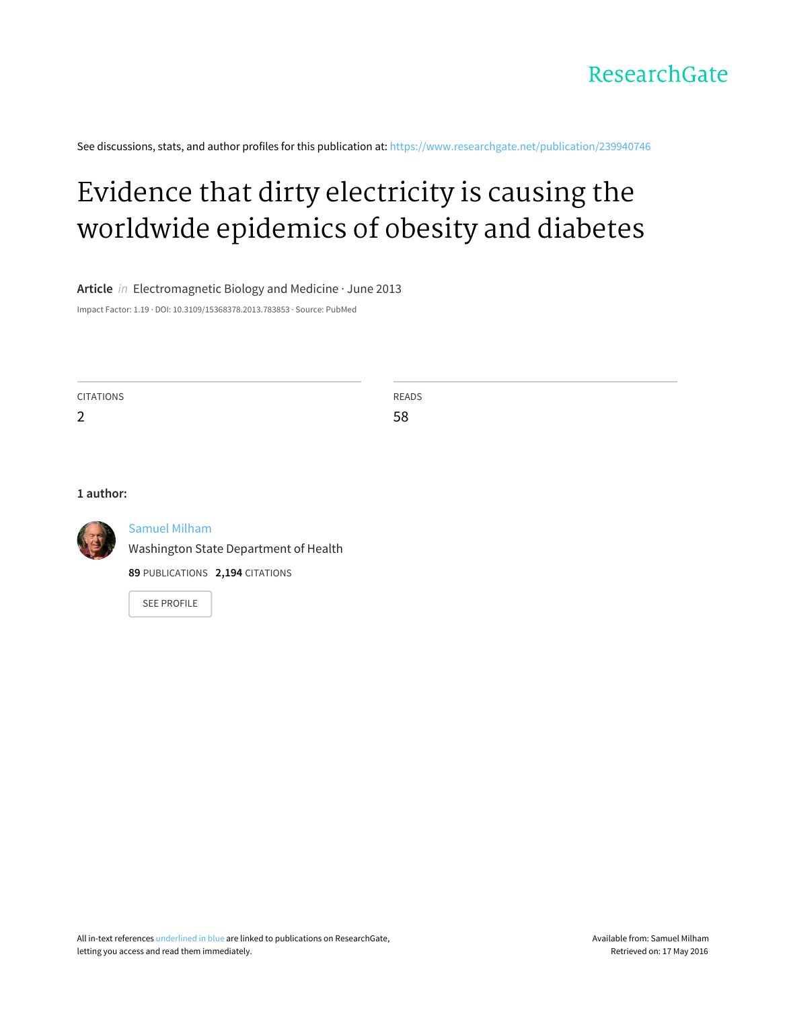

See discussions, stats, and author profiles for this publication at: [https://www.researchgate.net/publication/239940746](https://www.researchgate.net/publication/239940746_Evidence_that_dirty_electricity_is_causing_the_worldwide_epidemics_of_obesity_and_diabetes?enrichId=rgreq-b9a281c0-18d2-4c0d-b044-070710fbb931&enrichSource=Y292ZXJQYWdlOzIzOTk0MDc0NjtBUzoxMTk3OTEzMDYxNTM5ODRAMTQwNTU3MTg4MTc5Ng%3D%3D&el=1_x_2)

# Evidence that dirty electricity is causing the [worldwide](https://www.researchgate.net/publication/239940746_Evidence_that_dirty_electricity_is_causing_the_worldwide_epidemics_of_obesity_and_diabetes?enrichId=rgreq-b9a281c0-18d2-4c0d-b044-070710fbb931&enrichSource=Y292ZXJQYWdlOzIzOTk0MDc0NjtBUzoxMTk3OTEzMDYxNTM5ODRAMTQwNTU3MTg4MTc5Ng%3D%3D&el=1_x_3) epidemics of obesity and diabetes

**Article** in Electromagnetic Biology and Medicine · June 2013

Impact Factor: 1.19 · DOI: 10.3109/15368378.2013.783853 · Source: PubMed

CITATIONS

2

READS 58

#### **1 author:**



### [Samuel](https://www.researchgate.net/profile/Samuel_Milham?enrichId=rgreq-b9a281c0-18d2-4c0d-b044-070710fbb931&enrichSource=Y292ZXJQYWdlOzIzOTk0MDc0NjtBUzoxMTk3OTEzMDYxNTM5ODRAMTQwNTU3MTg4MTc5Ng%3D%3D&el=1_x_5) Milham

Washington State [Department](https://www.researchgate.net/institution/Washington_State_Department_of_Health?enrichId=rgreq-b9a281c0-18d2-4c0d-b044-070710fbb931&enrichSource=Y292ZXJQYWdlOzIzOTk0MDc0NjtBUzoxMTk3OTEzMDYxNTM5ODRAMTQwNTU3MTg4MTc5Ng%3D%3D&el=1_x_6) of Health

**89** PUBLICATIONS **2,194** CITATIONS

SEE [PROFILE](https://www.researchgate.net/profile/Samuel_Milham?enrichId=rgreq-b9a281c0-18d2-4c0d-b044-070710fbb931&enrichSource=Y292ZXJQYWdlOzIzOTk0MDc0NjtBUzoxMTk3OTEzMDYxNTM5ODRAMTQwNTU3MTg4MTc5Ng%3D%3D&el=1_x_7)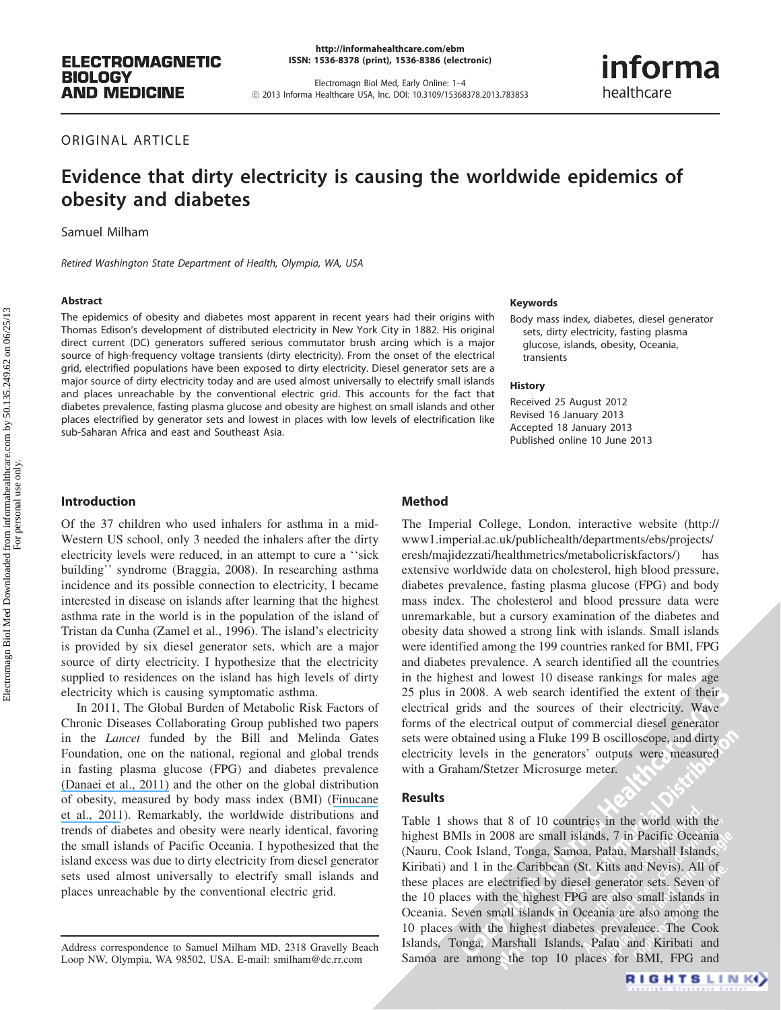<http://informahealthcare.com/ebm> ISSN: 1536-8378 (print), 1536-8386 (electronic)

Electromagn Biol Med, Early Online: 1–4 ! 2013 Informa Healthcare USA, Inc. DOI: 10.3109/15368378.2013.783853

## informa healthcare

ORIGINAL ARTICLE

### Evidence that dirty electricity is causing the worldwide epidemics of obesity and diabetes

Samuel Milham

Retired Washington State Department of Health, Olympia, WA, USA

#### **Abstract**

The epidemics of obesity and diabetes most apparent in recent years had their origins with Thomas Edison's development of distributed electricity in New York City in 1882. His original direct current (DC) generators suffered serious commutator brush arcing which is a major source of high-frequency voltage transients (dirty electricity). From the onset of the electrical grid, electrified populations have been exposed to dirty electricity. Diesel generator sets are a major source of dirty electricity today and are used almost universally to electrify small islands and places unreachable by the conventional electric grid. This accounts for the fact that diabetes prevalence, fasting plasma glucose and obesity are highest on small islands and other places electrified by generator sets and lowest in places with low levels of electrification like sub-Saharan Africa and east and Southeast Asia.

#### Keywords

Body mass index, diabetes, diesel generator sets, dirty electricity, fasting plasma glucose, islands, obesity, Oceania, transients

#### History

Received 25 August 2012 Revised 16 January 2013 Accepted 18 January 2013 Published online 10 June 2013

#### Introduction

Of the 37 children who used inhalers for asthma in a mid-Western US school, only 3 needed the inhalers after the dirty electricity levels were reduced, in an attempt to cure a ''sick building'' syndrome (Braggia, 2008). In researching asthma incidence and its possible connection to electricity, I became interested in disease on islands after learning that the highest asthma rate in the world is in the population of the island of Tristan da Cunha (Zamel et al., 1996). The island's electricity is provided by six diesel generator sets, which are a major source of dirty electricity. I hypothesize that the electricity supplied to residences on the island has high levels of dirty electricity which is causing symptomatic asthma.

In 2011, The Global Burden of Metabolic Risk Factors of Chronic Diseases Collaborating Group published two papers in the Lancet funded by the Bill and Melinda Gates Foundation, one on the national, regional and global trends in fasting plasma glucose (FPG) and diabetes prevalence [\(Danaei et al., 2011\)](https://www.researchgate.net/publication/51249694_Global_Burden_of_Metabolic_Risk_Factors_of_Chronic_Diseases_Collaborating_Group_Blood_Glucose_National_regional_and_global_trends_in_fasting_plasma_glucose_and_diabetes_prevalence_since_1980_systemati?el=1_x_8&enrichId=rgreq-b9a281c0-18d2-4c0d-b044-070710fbb931&enrichSource=Y292ZXJQYWdlOzIzOTk0MDc0NjtBUzoxMTk3OTEzMDYxNTM5ODRAMTQwNTU3MTg4MTc5Ng==) and the other on the global distribution of obesity, measured by body mass index (BMI) ([Finucane](https://www.researchgate.net/publication/49812169_National_regional_and_global_trends_in_body-mass_index_since_1980_systematic_analysis_of_health_examination_surveys_and_epidemiological_studies_with_960_country-years_and_91_million_participants?el=1_x_8&enrichId=rgreq-b9a281c0-18d2-4c0d-b044-070710fbb931&enrichSource=Y292ZXJQYWdlOzIzOTk0MDc0NjtBUzoxMTk3OTEzMDYxNTM5ODRAMTQwNTU3MTg4MTc5Ng==) [et al., 2011](https://www.researchgate.net/publication/49812169_National_regional_and_global_trends_in_body-mass_index_since_1980_systematic_analysis_of_health_examination_surveys_and_epidemiological_studies_with_960_country-years_and_91_million_participants?el=1_x_8&enrichId=rgreq-b9a281c0-18d2-4c0d-b044-070710fbb931&enrichSource=Y292ZXJQYWdlOzIzOTk0MDc0NjtBUzoxMTk3OTEzMDYxNTM5ODRAMTQwNTU3MTg4MTc5Ng==)). Remarkably, the worldwide distributions and trends of diabetes and obesity were nearly identical, favoring the small islands of Pacific Oceania. I hypothesized that the island excess was due to dirty electricity from diesel generator sets used almost universally to electrify small islands and places unreachable by the conventional electric grid.

#### Method

of their<br> *z*. Wave<br>
enerator<br>
red dirty The Imperial College, London, interactive website (http:// www1.imperial.ac.uk/publichealth/departments/ebs/projects/ eresh/majidezzati/healthmetrics/metabolicriskfactors/) extensive worldwide data on cholesterol, high blood pressure, diabetes prevalence, fasting plasma glucose (FPG) and body mass index. The cholesterol and blood pressure data were unremarkable, but a cursory examination of the diabetes and obesity data showed a strong link with islands. Small islands were identified among the 199 countries ranked for BMI, FPG and diabetes prevalence. A search identified all the countries in the highest and lowest 10 disease rankings for males age 25 plus in 2008. A web search identified the extent of their electrical grids and the sources of their electricity. Wave forms of the electrical output of commercial diesel generator sets were obtained using a Fluke 199 B oscilloscope, and dirty electricity levels in the generators' outputs were measured with a Graham/Stetzer Microsurge meter.

#### Results

Table 1 shows that 8 of 10 countries in the world with the highest BMIs in 2008 are small islands, 7 in Pacific Oceania (Nauru, Cook Island, Tonga, Samoa, Palau, Marshall Islands, Kiribati) and 1 in the Caribbean (St. Kitts and Nevis). All of these places are electrified by diesel generator sets. Seven of the 10 places with the highest FPG are also small islands in Oceania. Seven small islands in Oceania are also among the 10 places with the highest diabetes prevalence. The Cook Islands, Tonga, Marshall Islands, Palau and Kiribati and Samoa are among the top 10 places for BMI, FPG and

Address correspondence to Samuel Milham MD, 2318 Gravelly Beach Loop NW, Olympia, WA 98502, USA. E-mail: [smilham@dc.rr.com](mailto:smilham@dc.rr.com)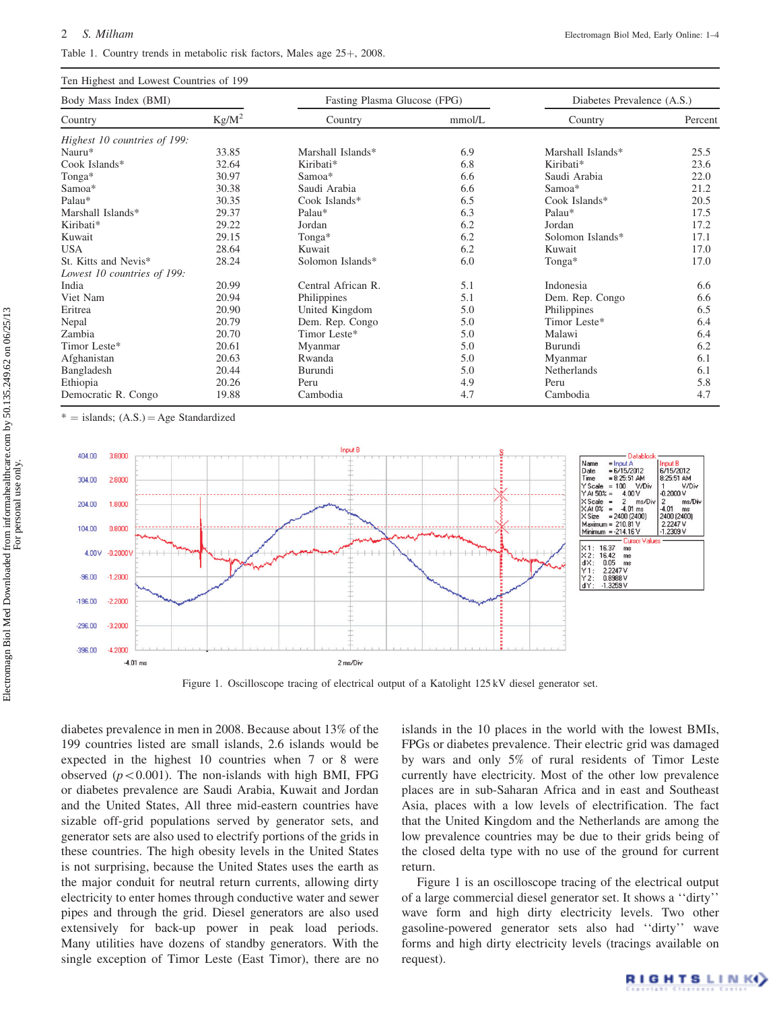#### Table 1. Country trends in metabolic risk factors, Males age 25+, 2008.

| Ten Highest and Lowest Countries of 199 |          |                              |        |                            |         |
|-----------------------------------------|----------|------------------------------|--------|----------------------------|---------|
| Body Mass Index (BMI)                   |          | Fasting Plasma Glucose (FPG) |        | Diabetes Prevalence (A.S.) |         |
| Country                                 | $Kg/M^2$ | Country                      | mmol/L | Country                    | Percent |
| Highest 10 countries of 199:            |          |                              |        |                            |         |
| Nauru*                                  | 33.85    | Marshall Islands*            | 6.9    | Marshall Islands*          | 25.5    |
| Cook Islands*                           | 32.64    | Kiribati*                    | 6.8    | Kiribati*                  | 23.6    |
| Tonga*                                  | 30.97    | Samoa*                       | 6.6    | Saudi Arabia               | 22.0    |
| Samoa*                                  | 30.38    | Saudi Arabia                 | 6.6    | Samoa*                     | 21.2    |
| Palau*                                  | 30.35    | Cook Islands*                | 6.5    | Cook Islands*              | 20.5    |
| Marshall Islands*                       | 29.37    | Palau*                       | 6.3    | Palau*                     | 17.5    |
| Kiribati*                               | 29.22    | Jordan                       | 6.2    | Jordan                     | 17.2    |
| Kuwait                                  | 29.15    | Tonga*                       | 6.2    | Solomon Islands*           | 17.1    |
| <b>USA</b>                              | 28.64    | Kuwait                       | 6.2    | Kuwait                     | 17.0    |
| St. Kitts and Nevis*                    | 28.24    | Solomon Islands*             | 6.0    | Tonga*                     | 17.0    |
| Lowest 10 countries of 199:             |          |                              |        |                            |         |
| India                                   | 20.99    | Central African R.           | 5.1    | Indonesia                  | 6.6     |
| Viet Nam                                | 20.94    | Philippines                  | 5.1    | Dem. Rep. Congo            | 6.6     |
| Eritrea                                 | 20.90    | United Kingdom               | 5.0    | Philippines                | 6.5     |
| Nepal                                   | 20.79    | Dem. Rep. Congo              | 5.0    | Timor Leste*               | 6.4     |
| Zambia                                  | 20.70    | Timor Leste*                 | 5.0    | Malawi                     | 6.4     |
| Timor Leste*                            | 20.61    | Myanmar                      | 5.0    | Burundi                    | 6.2     |
| Afghanistan                             | 20.63    | Rwanda                       | 5.0    | Myanmar                    | 6.1     |
| Bangladesh                              | 20.44    | Burundi                      | 5.0    | Netherlands                | 6.1     |
| Ethiopia                                | 20.26    | Peru                         | 4.9    | Peru                       | 5.8     |
| Democratic R. Congo                     | 19.88    | Cambodia                     | 4.7    | Cambodia                   | 4.7     |

 $=$  islands;  $(A.S.) = Age$  Standardized



Figure 1. Oscilloscope tracing of electrical output of a Katolight 125 kV diesel generator set.

diabetes prevalence in men in 2008. Because about 13% of the 199 countries listed are small islands, 2.6 islands would be expected in the highest 10 countries when 7 or 8 were observed ( $p<0.001$ ). The non-islands with high BMI, FPG or diabetes prevalence are Saudi Arabia, Kuwait and Jordan and the United States, All three mid-eastern countries have sizable off-grid populations served by generator sets, and generator sets are also used to electrify portions of the grids in these countries. The high obesity levels in the United States is not surprising, because the United States uses the earth as the major conduit for neutral return currents, allowing dirty electricity to enter homes through conductive water and sewer pipes and through the grid. Diesel generators are also used extensively for back-up power in peak load periods. Many utilities have dozens of standby generators. With the single exception of Timor Leste (East Timor), there are no

islands in the 10 places in the world with the lowest BMIs, FPGs or diabetes prevalence. Their electric grid was damaged by wars and only 5% of rural residents of Timor Leste currently have electricity. Most of the other low prevalence places are in sub-Saharan Africa and in east and Southeast Asia, places with a low levels of electrification. The fact that the United Kingdom and the Netherlands are among the low prevalence countries may be due to their grids being of the closed delta type with no use of the ground for current return.

Figure 1 is an oscilloscope tracing of the electrical output of a large commercial diesel generator set. It shows a ''dirty'' wave form and high dirty electricity levels. Two other gasoline-powered generator sets also had ''dirty'' wave forms and high dirty electricity levels (tracings available on request).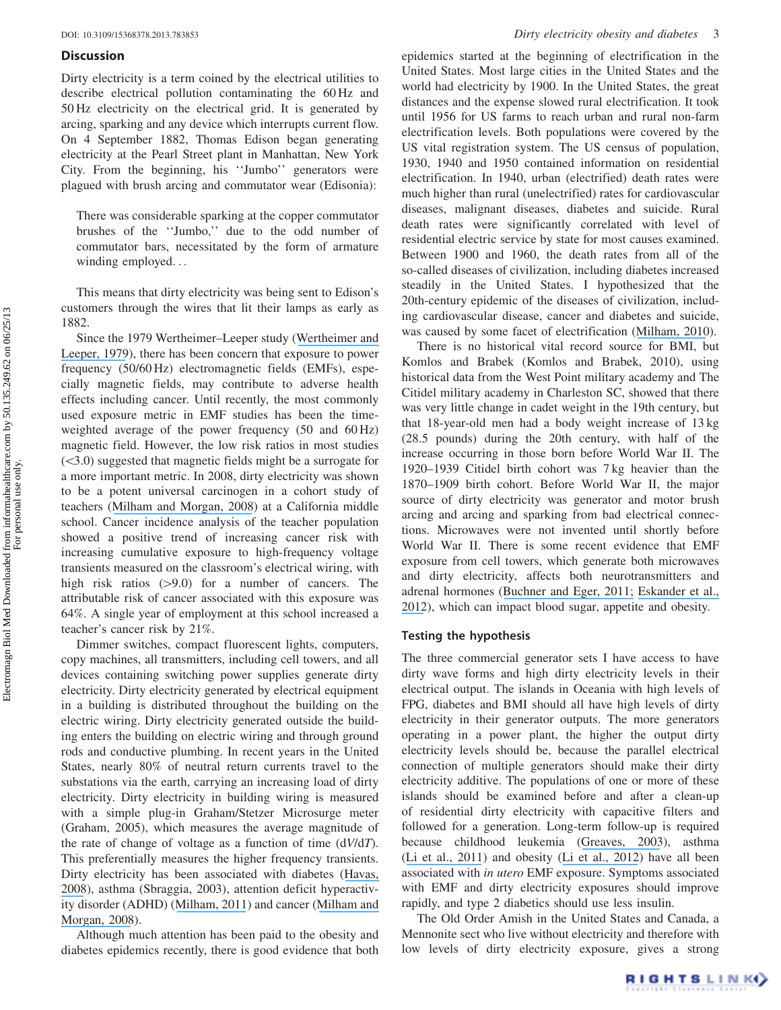#### **Discussion**

Dirty electricity is a term coined by the electrical utilities to describe electrical pollution contaminating the 60 Hz and 50 Hz electricity on the electrical grid. It is generated by arcing, sparking and any device which interrupts current flow. On 4 September 1882, Thomas Edison began generating electricity at the Pearl Street plant in Manhattan, New York City. From the beginning, his ''Jumbo'' generators were plagued with brush arcing and commutator wear (Edisonia):

There was considerable sparking at the copper commutator brushes of the ''Jumbo,'' due to the odd number of commutator bars, necessitated by the form of armature winding employed...

This means that dirty electricity was being sent to Edison's customers through the wires that lit their lamps as early as 1882.

Since the 1979 Wertheimer–Leeper study ([Wertheimer and](https://www.researchgate.net/publication/22689444_Electrical_Wiring_Configurations_and_Childhood_Cancer?el=1_x_8&enrichId=rgreq-b9a281c0-18d2-4c0d-b044-070710fbb931&enrichSource=Y292ZXJQYWdlOzIzOTk0MDc0NjtBUzoxMTk3OTEzMDYxNTM5ODRAMTQwNTU3MTg4MTc5Ng==) [Leeper, 1979](https://www.researchgate.net/publication/22689444_Electrical_Wiring_Configurations_and_Childhood_Cancer?el=1_x_8&enrichId=rgreq-b9a281c0-18d2-4c0d-b044-070710fbb931&enrichSource=Y292ZXJQYWdlOzIzOTk0MDc0NjtBUzoxMTk3OTEzMDYxNTM5ODRAMTQwNTU3MTg4MTc5Ng==)), there has been concern that exposure to power frequency (50/60 Hz) electromagnetic fields (EMFs), especially magnetic fields, may contribute to adverse health effects including cancer. Until recently, the most commonly used exposure metric in EMF studies has been the timeweighted average of the power frequency (50 and 60 Hz) magnetic field. However, the low risk ratios in most studies  $( $3.0$ ) suggested that magnetic fields might be a surrogate for$ a more important metric. In 2008, dirty electricity was shown to be a potent universal carcinogen in a cohort study of teachers ([Milham and Morgan, 2008](https://www.researchgate.net/publication/5339204_A_new_electromagnetic_exposure_metric_High_frequency_voltage_transients_associated_with_increased_cancer_incidence_in_teachers_in_a_California_school?el=1_x_8&enrichId=rgreq-b9a281c0-18d2-4c0d-b044-070710fbb931&enrichSource=Y292ZXJQYWdlOzIzOTk0MDc0NjtBUzoxMTk3OTEzMDYxNTM5ODRAMTQwNTU3MTg4MTc5Ng==)) at a California middle school. Cancer incidence analysis of the teacher population showed a positive trend of increasing cancer risk with increasing cumulative exposure to high-frequency voltage transients measured on the classroom's electrical wiring, with high risk ratios  $(>9.0)$  for a number of cancers. The attributable risk of cancer associated with this exposure was 64%. A single year of employment at this school increased a teacher's cancer risk by 21%.

Dimmer switches, compact fluorescent lights, computers, copy machines, all transmitters, including cell towers, and all devices containing switching power supplies generate dirty electricity. Dirty electricity generated by electrical equipment in a building is distributed throughout the building on the electric wiring. Dirty electricity generated outside the building enters the building on electric wiring and through ground rods and conductive plumbing. In recent years in the United States, nearly 80% of neutral return currents travel to the substations via the earth, carrying an increasing load of dirty electricity. Dirty electricity in building wiring is measured with a simple plug-in Graham/Stetzer Microsurge meter (Graham, 2005), which measures the average magnitude of the rate of change of voltage as a function of time  $(dV/dT)$ . This preferentially measures the higher frequency transients. Dirty electricity has been associated with diabetes ([Havas,](https://www.researchgate.net/publication/5287517_Dirty_Electricity_Elevates_Blood_Sugar_Among_Electrically_Sensitive_Diabetics_and_May_Explain_Brittle_Diabetes?el=1_x_8&enrichId=rgreq-b9a281c0-18d2-4c0d-b044-070710fbb931&enrichSource=Y292ZXJQYWdlOzIzOTk0MDc0NjtBUzoxMTk3OTEzMDYxNTM5ODRAMTQwNTU3MTg4MTc5Ng==) [2008](https://www.researchgate.net/publication/5287517_Dirty_Electricity_Elevates_Blood_Sugar_Among_Electrically_Sensitive_Diabetics_and_May_Explain_Brittle_Diabetes?el=1_x_8&enrichId=rgreq-b9a281c0-18d2-4c0d-b044-070710fbb931&enrichSource=Y292ZXJQYWdlOzIzOTk0MDc0NjtBUzoxMTk3OTEzMDYxNTM5ODRAMTQwNTU3MTg4MTc5Ng==)), asthma (Sbraggia, 2003), attention deficit hyperactivity disorder (ADHD) ([Milham, 2011](https://www.researchgate.net/publication/51635850_Attention_Deficit_Hyperactivity_Disorder_and_Dirty_Electricity?el=1_x_8&enrichId=rgreq-b9a281c0-18d2-4c0d-b044-070710fbb931&enrichSource=Y292ZXJQYWdlOzIzOTk0MDc0NjtBUzoxMTk3OTEzMDYxNTM5ODRAMTQwNTU3MTg4MTc5Ng==)) and cancer ([Milham and](https://www.researchgate.net/publication/5339204_A_new_electromagnetic_exposure_metric_High_frequency_voltage_transients_associated_with_increased_cancer_incidence_in_teachers_in_a_California_school?el=1_x_8&enrichId=rgreq-b9a281c0-18d2-4c0d-b044-070710fbb931&enrichSource=Y292ZXJQYWdlOzIzOTk0MDc0NjtBUzoxMTk3OTEzMDYxNTM5ODRAMTQwNTU3MTg4MTc5Ng==) [Morgan, 2008](https://www.researchgate.net/publication/5339204_A_new_electromagnetic_exposure_metric_High_frequency_voltage_transients_associated_with_increased_cancer_incidence_in_teachers_in_a_California_school?el=1_x_8&enrichId=rgreq-b9a281c0-18d2-4c0d-b044-070710fbb931&enrichSource=Y292ZXJQYWdlOzIzOTk0MDc0NjtBUzoxMTk3OTEzMDYxNTM5ODRAMTQwNTU3MTg4MTc5Ng==)).

Although much attention has been paid to the obesity and diabetes epidemics recently, there is good evidence that both epidemics started at the beginning of electrification in the United States. Most large cities in the United States and the world had electricity by 1900. In the United States, the great distances and the expense slowed rural electrification. It took until 1956 for US farms to reach urban and rural non-farm electrification levels. Both populations were covered by the US vital registration system. The US census of population, 1930, 1940 and 1950 contained information on residential electrification. In 1940, urban (electrified) death rates were much higher than rural (unelectrified) rates for cardiovascular diseases, malignant diseases, diabetes and suicide. Rural death rates were significantly correlated with level of residential electric service by state for most causes examined. Between 1900 and 1960, the death rates from all of the so-called diseases of civilization, including diabetes increased steadily in the United States. I hypothesized that the 20th-century epidemic of the diseases of civilization, including cardiovascular disease, cancer and diabetes and suicide, was caused by some facet of electrification ([Milham, 2010](https://www.researchgate.net/publication/26806418_Historical_evidence_that_electrification_caused_the_20th_century_epidemic_of_diseases_of_civilization?el=1_x_8&enrichId=rgreq-b9a281c0-18d2-4c0d-b044-070710fbb931&enrichSource=Y292ZXJQYWdlOzIzOTk0MDc0NjtBUzoxMTk3OTEzMDYxNTM5ODRAMTQwNTU3MTg4MTc5Ng==)).

There is no historical vital record source for BMI, but Komlos and Brabek (Komlos and Brabek, 2010), using historical data from the West Point military academy and The Citidel military academy in Charleston SC, showed that there was very little change in cadet weight in the 19th century, but that 18-year-old men had a body weight increase of 13 kg (28.5 pounds) during the 20th century, with half of the increase occurring in those born before World War II. The 1920–1939 Citidel birth cohort was 7 kg heavier than the 1870–1909 birth cohort. Before World War II, the major source of dirty electricity was generator and motor brush arcing and arcing and sparking from bad electrical connections. Microwaves were not invented until shortly before World War II. There is some recent evidence that EMF exposure from cell towers, which generate both microwaves and dirty electricity, affects both neurotransmitters and adrenal hormones ([Buchner and Eger, 2011;](https://www.researchgate.net/publication/285497186_Changes_of_clinically_important_neurotransmitters_under_the_influence_of_modulated_RF_fields_-_a_long-term_study_under_real-life_conditions?el=1_x_8&enrichId=rgreq-b9a281c0-18d2-4c0d-b044-070710fbb931&enrichSource=Y292ZXJQYWdlOzIzOTk0MDc0NjtBUzoxMTk3OTEzMDYxNTM5ODRAMTQwNTU3MTg4MTc5Ng==) [Eskander et al.,](https://www.researchgate.net/publication/51850212_How_does_long_term_exposure_to_base_stations_and_mobile_phones_affect_human_hormone_profiles?el=1_x_8&enrichId=rgreq-b9a281c0-18d2-4c0d-b044-070710fbb931&enrichSource=Y292ZXJQYWdlOzIzOTk0MDc0NjtBUzoxMTk3OTEzMDYxNTM5ODRAMTQwNTU3MTg4MTc5Ng==) [2012](https://www.researchgate.net/publication/51850212_How_does_long_term_exposure_to_base_stations_and_mobile_phones_affect_human_hormone_profiles?el=1_x_8&enrichId=rgreq-b9a281c0-18d2-4c0d-b044-070710fbb931&enrichSource=Y292ZXJQYWdlOzIzOTk0MDc0NjtBUzoxMTk3OTEzMDYxNTM5ODRAMTQwNTU3MTg4MTc5Ng==)), which can impact blood sugar, appetite and obesity.

#### Testing the hypothesis

The three commercial generator sets I have access to have dirty wave forms and high dirty electricity levels in their electrical output. The islands in Oceania with high levels of FPG, diabetes and BMI should all have high levels of dirty electricity in their generator outputs. The more generators operating in a power plant, the higher the output dirty electricity levels should be, because the parallel electrical connection of multiple generators should make their dirty electricity additive. The populations of one or more of these islands should be examined before and after a clean-up of residential dirty electricity with capacitive filters and followed for a generation. Long-term follow-up is required because childhood leukemia ([Greaves, 2003](https://www.researchgate.net/publication/8676091_Pre-natal_Origins_of_Childhood_Leukemia?el=1_x_8&enrichId=rgreq-b9a281c0-18d2-4c0d-b044-070710fbb931&enrichSource=Y292ZXJQYWdlOzIzOTk0MDc0NjtBUzoxMTk3OTEzMDYxNTM5ODRAMTQwNTU3MTg4MTc5Ng==)), asthma ([Li et al., 2011](https://www.researchgate.net/publication/51541626_Maternal_Exposure_to_Magnetic_Fields_During_Pregnancy_in_Relation_to_the_Risk_of_Asthma_in_Offspring?el=1_x_8&enrichId=rgreq-b9a281c0-18d2-4c0d-b044-070710fbb931&enrichSource=Y292ZXJQYWdlOzIzOTk0MDc0NjtBUzoxMTk3OTEzMDYxNTM5ODRAMTQwNTU3MTg4MTc5Ng==)) and obesity ([Li et al., 2012](https://www.researchgate.net/publication/230586909_A_Prospective_Study_of_In-utero_Exposure_to_Magnetic_Fields_and_the_Risk_of_Childhood_Obesity?el=1_x_8&enrichId=rgreq-b9a281c0-18d2-4c0d-b044-070710fbb931&enrichSource=Y292ZXJQYWdlOzIzOTk0MDc0NjtBUzoxMTk3OTEzMDYxNTM5ODRAMTQwNTU3MTg4MTc5Ng==)) have all been associated with in utero EMF exposure. Symptoms associated with EMF and dirty electricity exposures should improve rapidly, and type 2 diabetics should use less insulin.

The Old Order Amish in the United States and Canada, a Mennonite sect who live without electricity and therefore with low levels of dirty electricity exposure, gives a strong